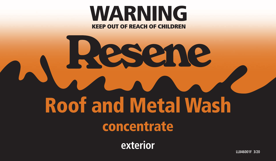# **WARNING KEEP OUT OF REACH OF CHILDREN**

# Resene Roof and Metal Wash concentrate

**exterior**

**LL846001F 3/20**